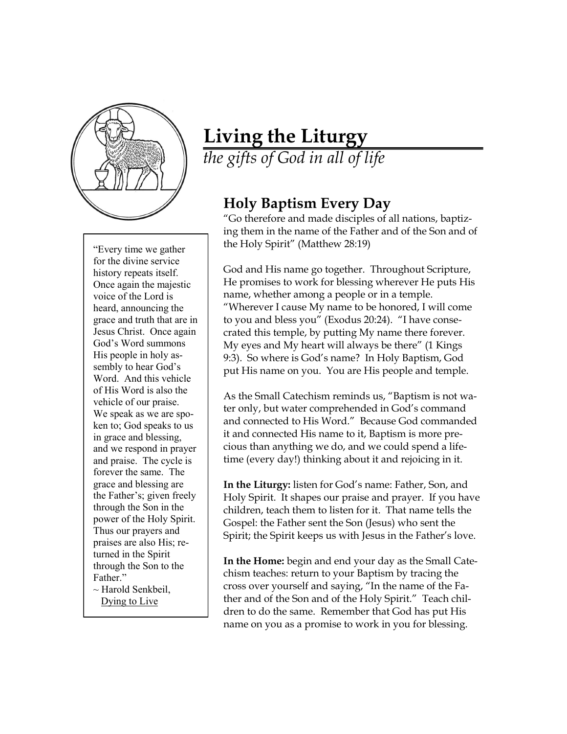

"Every time we gather for the divine service history repeats itself. Once again the majestic voice of the Lord is heard, announcing the grace and truth that are in Jesus Christ. Once again God's Word summons His people in holy assembly to hear God's Word. And this vehicle of His Word is also the vehicle of our praise. We speak as we are spoken to; God speaks to us in grace and blessing, and we respond in prayer and praise. The cycle is forever the same. The grace and blessing are the Father's; given freely through the Son in the power of the Holy Spirit. Thus our prayers and praises are also His; returned in the Spirit through the Son to the Father."

 $\sim$  Harold Senkbeil, Dying to Live

## **Living the Liturgy**

*the gifts of God in all of life*

## **Holy Baptism Every Day**

"Go therefore and made disciples of all nations, baptizing them in the name of the Father and of the Son and of the Holy Spirit" (Matthew 28:19)

God and His name go together. Throughout Scripture, He promises to work for blessing wherever He puts His name, whether among a people or in a temple. "Wherever I cause My name to be honored, I will come to you and bless you" (Exodus 20:24). "I have consecrated this temple, by putting My name there forever. My eyes and My heart will always be there" (1 Kings 9:3). So where is God's name? In Holy Baptism, God put His name on you. You are His people and temple.

As the Small Catechism reminds us, "Baptism is not water only, but water comprehended in God's command and connected to His Word." Because God commanded it and connected His name to it, Baptism is more precious than anything we do, and we could spend a lifetime (every day!) thinking about it and rejoicing in it.

**In the Liturgy:** listen for God's name: Father, Son, and Holy Spirit. It shapes our praise and prayer. If you have children, teach them to listen for it. That name tells the Gospel: the Father sent the Son (Jesus) who sent the Spirit; the Spirit keeps us with Jesus in the Father's love.

**In the Home:** begin and end your day as the Small Catechism teaches: return to your Baptism by tracing the cross over yourself and saying, "In the name of the Father and of the Son and of the Holy Spirit." Teach children to do the same. Remember that God has put His name on you as a promise to work in you for blessing.